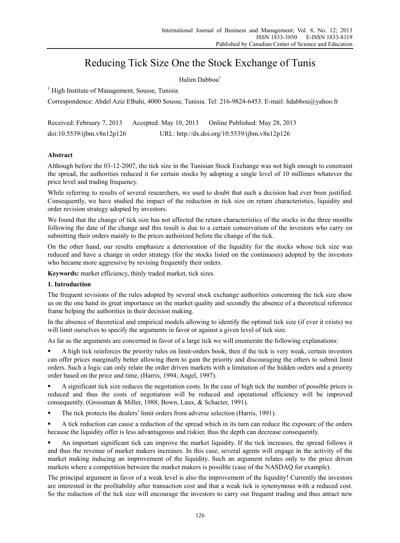# Reducing Tick Size One the Stock Exchange of Tunis

# Halim Dabbou $<sup>1</sup>$ </sup>

<sup>1</sup> High Institute of Management, Sousse, Tunisia

Correspondence: Abdel Aziz Elbahi, 4000 Sousse, Tunisia. Tel: 216-9824-6453. E-mail: hdabbou@yahoo.fr

Received: February 7, 2013 Accepted: May 10, 2013 Online Published: May 28, 2013 doi:10.5539/ijbm.v8n12p126 URL: http://dx.doi.org/10.5539/ijbm.v8n12p126

## **Abstract**

Although before the 03-12-2007, the tick size in the Tunisian Stock Exchange was not high enough to constraint the spread, the authorities reduced it for certain stocks by adopting a single level of 10 millimes whatever the price level and trading frequency.

While referring to results of several researchers, we used to doubt that such a decision had ever been justified. Consequently, we have studied the impact of the reduction in tick size on return characteristics, liquidity and order revision strategy adopted by investors.

We found that the change of tick size has not affected the return characteristics of the stocks in the three months following the date of the change and this result is due to a certain conservatism of the investors who carry on submitting their orders mainly to the prices authorized before the change of the tick.

On the other hand, our results emphasize a deterioration of the liquidity for the stocks whose tick size was reduced and have a change in order strategy (for the stocks listed on the continuous) adopted by the investors who became more aggressive by revising frequently their orders.

**Keywords:** market efficiency, thinly traded market, tick sizes

## **1. Introduction**

The frequent revisions of the rules adopted by several stock exchange authorities concerning the tick size show us on the one hand its great importance on the market quality and secondly the absence of a theoretical reference frame helping the authorities in their decision making.

In the absence of theoretical and empirical models allowing to identify the optimal tick size (if ever it exists) we will limit ourselves to specify the arguments in favor or against a given level of tick size.

As far as the arguments are concerned in favor of a large tick we will enumerate the following explanations:

 A high tick reinforces the priority rules on limit-orders book, then if the tick is very weak, certain investors can offer prices marginally better allowing them to gain the priority and discouraging the others to submit limit orders. Such a logic can only relate the order driven markets with a limitation of the hidden orders and a priority order based on the price and time, (Harris, 1994; Angel, 1997).

 A significant tick size reduces the negotiation costs. In the case of high tick the number of possible prices is reduced and thus the costs of negotiation will be reduced and operational efficiency will be improved consequently. (Grossman & Miller, 1988; Bown, Laux, & Schacter, 1991).

The tick protects the dealers' limit orders from adverse selection (Harris, 1991).

 A tick reduction can cause a reduction of the spread which in its turn can reduce the exposure of the orders because the liquidity offer is less advantageous and riskier, thus the depth can decrease consequently.

 An important significant tick can improve the market liquidity. If the tick increases, the spread follows it and thus the revenue of market makers increases. In this case, several agents will engage in the activity of the market making inducing an improvement of the liquidity. Such an argument relates only to the price driven markets where a competition between the market makers is possible (case of the NASDAQ for example).

The principal argument in favor of a weak level is also the improvement of the liquidity! Currently the investors are interested in the profitability after transaction cost and that a weak tick is synonymous with a reduced cost. So the reduction of the tick size will encourage the investors to carry out frequent trading and thus attract new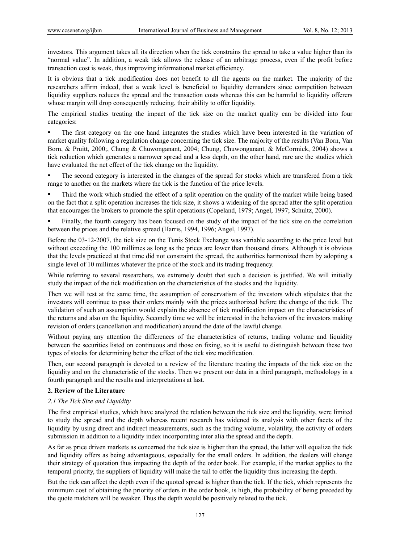investors. This argument takes all its direction when the tick constrains the spread to take a value higher than its "normal value". In addition, a weak tick allows the release of an arbitrage process, even if the profit before transaction cost is weak, thus improving informational market efficiency.

It is obvious that a tick modification does not benefit to all the agents on the market. The majority of the researchers affirm indeed, that a weak level is beneficial to liquidity demanders since competition between liquidity suppliers reduces the spread and the transaction costs whereas this can be harmful to liquidity offerers whose margin will drop consequently reducing, their ability to offer liquidity.

The empirical studies treating the impact of the tick size on the market quality can be divided into four categories:

 The first category on the one hand integrates the studies which have been interested in the variation of market quality following a regulation change concerning the tick size. The majority of the results (Van Born, Van Born, & Pruitt, 2000;, Chung & Chuwonganant, 2004; Chung, Chuwonganant, & McCormick, 2004) shows a tick reduction which generates a narrower spread and a less depth, on the other hand, rare are the studies which have evaluated the net effect of the tick change on the liquidity.

 The second category is interested in the changes of the spread for stocks which are transfered from a tick range to another on the markets where the tick is the function of the price levels.

 Third the work which studied the effect of a split operation on the quality of the market while being based on the fact that a split operation increases the tick size, it shows a widening of the spread after the split operation that encourages the brokers to promote the split operations (Copeland, 1979; Angel, 1997; Schultz, 2000).

 Finally, the fourth category has been focused on the study of the impact of the tick size on the correlation between the prices and the relative spread (Harris, 1994, 1996; Angel, 1997).

Before the 03-12-2007, the tick size on the Tunis Stock Exchange was variable according to the price level but without exceeding the 100 millimes as long as the prices are lower than thousand dinars. Although it is obvious that the levels practiced at that time did not constraint the spread, the authorities harmonized them by adopting a single level of 10 millimes whatever the price of the stock and its trading frequency.

While referring to several researchers, we extremely doubt that such a decision is justified. We will initially study the impact of the tick modification on the characteristics of the stocks and the liquidity.

Then we will test at the same time, the assumption of conservatism of the investors which stipulates that the investors will continue to pass their orders mainly with the prices authorized before the change of the tick. The validation of such an assumption would explain the absence of tick modification impact on the characteristics of the returns and also on the liquidity. Secondly time we will be interested in the behaviors of the investors making revision of orders (cancellation and modification) around the date of the lawful change.

Without paying any attention the differences of the characteristics of returns, trading volume and liquidity between the securities listed on continuous and those on fixing, so it is useful to distinguish between these two types of stocks for determining better the effect of the tick size modification.

Then, our second paragraph is devoted to a review of the literature treating the impacts of the tick size on the liquidity and on the characteristic of the stocks. Then we present our data in a third paragraph, methodology in a fourth paragraph and the results and interpretations at last.

## **2. Review of the Literature**

#### *2.1 The Tick Size and Liquidity*

The first empirical studies, which have analyzed the relation between the tick size and the liquidity, were limited to study the spread and the depth whereas recent research has widened its analysis with other facets of the liquidity by using direct and indirect measurements, such as the trading volume, volatility, the activity of orders submission in addition to a liquidity index incorporating inter alia the spread and the depth.

As far as price driven markets as concerned the tick size is higher than the spread, the latter will equalize the tick and liquidity offers as being advantageous, especially for the small orders. In addition, the dealers will change their strategy of quotation thus impacting the depth of the order book. For example, if the market applies to the temporal priority, the suppliers of liquidity will make the tail to offer the liquidity thus increasing the depth.

But the tick can affect the depth even if the quoted spread is higher than the tick. If the tick, which represents the minimum cost of obtaining the priority of orders in the order book, is high, the probability of being preceded by the quote matchers will be weaker. Thus the depth would be positively related to the tick.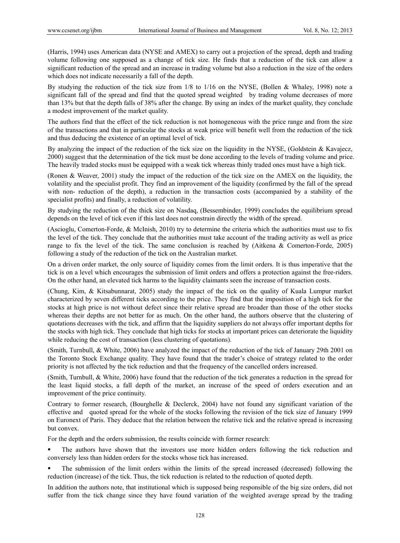(Harris, 1994) uses American data (NYSE and AMEX) to carry out a projection of the spread, depth and trading volume following one supposed as a change of tick size. He finds that a reduction of the tick can allow a significant reduction of the spread and an increase in trading volume but also a reduction in the size of the orders which does not indicate necessarily a fall of the depth.

By studying the reduction of the tick size from 1/8 to 1/16 on the NYSE, (Bollen & Whaley, 1998) note a significant fall of the spread and find that the quoted spread weighted by trading volume decreases of more than 13% but that the depth falls of 38% after the change. By using an index of the market quality, they conclude a modest improvement of the market quality.

The authors find that the effect of the tick reduction is not homogeneous with the price range and from the size of the transactions and that in particular the stocks at weak price will benefit well from the reduction of the tick and thus deducing the existence of an optimal level of tick.

By analyzing the impact of the reduction of the tick size on the liquidity in the NYSE, (Goldstein & Kavajecz, 2000) suggest that the determination of the tick must be done according to the levels of trading volume and price. The heavily traded stocks must be equipped with a weak tick whereas thinly traded ones must have a high tick.

(Ronen & Weaver, 2001) study the impact of the reduction of the tick size on the AMEX on the liquidity, the volatility and the specialist profit. They find an improvement of the liquidity (confirmed by the fall of the spread with non- reduction of the depth), a reduction in the transaction costs (accompanied by a stability of the specialist profits) and finally, a reduction of volatility.

By studying the reduction of the thick size on Nasdaq, (Bessembinder, 1999) concludes the equilibrium spread depends on the level of tick even if this last does not constrain directly the width of the spread.

(Ascioglu, Comerton-Forde, & McInish, 2010) try to determine the criteria which the authorities must use to fix the level of the tick. They conclude that the authorities must take account of the trading activity as well as price range to fix the level of the tick. The same conclusion is reached by (Aitkena & Comerton-Forde, 2005) following a study of the reduction of the tick on the Australian market.

On a driven order market, the only source of liquidity comes from the limit orders. It is thus imperative that the tick is on a level which encourages the submission of limit orders and offers a protection against the free-riders. On the other hand, an elevated tick harms to the liquidity claimants seen the increase of transaction costs.

(Chung, Kim, & Kitsabunnarat, 2005) study the impact of the tick on the quality of Kuala Lumpur market characterized by seven different ticks according to the price. They find that the imposition of a high tick for the stocks at high price is not without defect since their relative spread are broader than those of the other stocks whereas their depths are not better for as much. On the other hand, the authors observe that the clustering of quotations decreases with the tick, and affirm that the liquidity suppliers do not always offer important depths for the stocks with high tick. They conclude that high ticks for stocks at important prices can deteriorate the liquidity while reducing the cost of transaction (less clustering of quotations).

(Smith, Turnbull, & White, 2006) have analyzed the impact of the reduction of the tick of January 29th 2001 on the Toronto Stock Exchange quality. They have found that the trader's choice of strategy related to the order priority is not affected by the tick reduction and that the frequency of the cancelled orders increased.

(Smith, Turnbull, & White, 2006) have found that the reduction of the tick generates a reduction in the spread for the least liquid stocks, a fall depth of the market, an increase of the speed of orders execution and an improvement of the price continuity.

Contrary to former research, (Bourghelle & Declerck, 2004) have not found any significant variation of the effective and quoted spread for the whole of the stocks following the revision of the tick size of January 1999 on Euronext of Paris. They deduce that the relation between the relative tick and the relative spread is increasing but convex.

For the depth and the orders submission, the results coincide with former research:

 The authors have shown that the investors use more hidden orders following the tick reduction and conversely less than hidden orders for the stocks whose tick has increased.

 The submission of the limit orders within the limits of the spread increased (decreased) following the reduction (increase) of the tick. Thus, the tick reduction is related to the reduction of quoted depth.

In addition the authors note, that institutional which is supposed being responsible of the big size orders, did not suffer from the tick change since they have found variation of the weighted average spread by the trading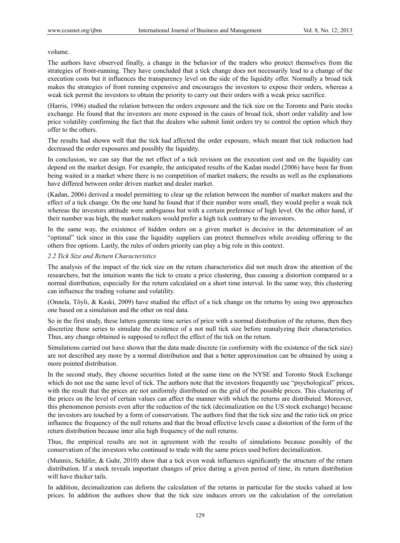volume.

The authors have observed finally, a change in the behavior of the traders who protect themselves from the strategies of front-running. They have concluded that a tick change does not necessarily lead to a change of the execution costs but it influences the transparency level on the side of the liquidity offer. Normally a broad tick makes the strategies of front running expensive and encourages the investors to expose their orders, whereas a weak tick permit the investors to obtain the priority to carry out their orders with a weak price sacrifice.

(Harris, 1996) studied the relation between the orders exposure and the tick size on the Toronto and Paris stocks exchange. He found that the investors are more exposed in the cases of broad tick, short order validity and low price volatility confirming the fact that the dealers who submit limit orders try to control the option which they offer to the others.

The results had shown well that the tick had affected the order exposure, which meant that tick reduction had decreased the order exposures and possibly the liquidity.

In conclusion, we can say that the net effect of a tick revision on the execution cost and on the liquidity can depend on the market design. For example, the anticipated results of the Kadan model (2006) have been far from being waited in a market where there is no competition of market makers; the results as well as the explanations have differed between order driven market and dealer market.

(Kadan, 2006) derived a model permitting to clear up the relation between the number of market makers and the effect of a tick change. On the one hand he found that if their number were small, they would prefer a weak tick whereas the investors attitude were ambiguous but with a certain preference of high level. On the other hand, if their number was high, the market makers would prefer a high tick contrary to the investors.

In the same way, the existence of hidden orders on a given market is decisive in the determination of an "optimal" tick since in this case the liquidity suppliers can protect themselves while avoiding offering to the others free options. Lastly, the rules of orders priority can play a big role in this context.

## *2.2 Tick Size and Return Characteristics*

The analysis of the impact of the tick size on the return characteristics did not much draw the attention of the researchers, but the intuition wants the tick to create a price clustering, thus causing a distortion compared to a normal distribution, especially for the return calculated on a short time interval. In the same way, this clustering can influence the trading volume and volatility.

(Onnela, Tôyli, & Kaski, 2009) have studied the effect of a tick change on the returns by using two approaches one based on a simulation and the other on real data.

So in the first study, these latters generate time series of price with a normal distribution of the returns, then they discretize these series to simulate the existence of a not null tick size before reanalyzing their characteristics. Thus, any change obtained is supposed to reflect the effect of the tick on the return.

Simulations carried out have shown that the data made discrete (in conformity with the existence of the tick size) are not described any more by a normal distribution and that a better approximation can be obtained by using a more pointed distribution.

In the second study, they choose securities listed at the same time on the NYSE and Toronto Stock Exchange which do not use the same level of tick. The authors note that the investors frequently use "psychological" prices, with the result that the prices are not uniformly distributed on the grid of the possible prices. This clustering of the prices on the level of certain values can affect the manner with which the returns are distributed. Moreover, this phenomenon persists even after the reduction of the tick (decimalization on the US stock exchange) because the investors are touched by a form of conservatism. The authors find that the tick size and the ratio tick on price influence the frequency of the null returns and that the broad effective levels cause a distortion of the form of the return distribution because inter alia high frequency of the null returns.

Thus, the empirical results are not in agreement with the results of simulations because possibly of the conservatism of the investors who continued to trade with the same prices used before decimalization.

(Munnix, Schäfer, & Guhr, 2010) show that a tick even weak influences significantly the structure of the return distribution. If a stock reveals important changes of price during a given period of time, its return distribution will have thicker tails.

In addition, decimalization can deform the calculation of the returns in particular for the stocks valued at low prices. In addition the authors show that the tick size induces errors on the calculation of the correlation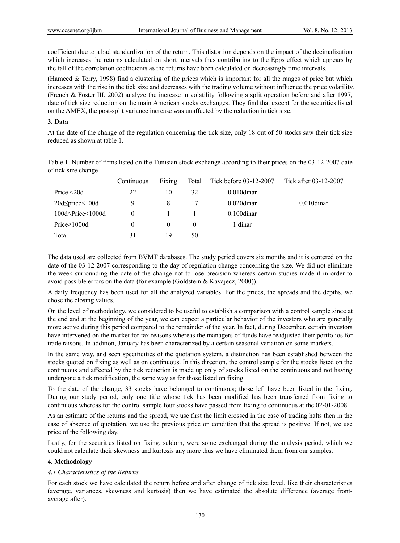coefficient due to a bad standardization of the return. This distortion depends on the impact of the decimalization which increases the returns calculated on short intervals thus contributing to the Epps effect which appears by the fall of the correlation coefficients as the returns have been calculated on decreasingly time intervals.

(Hameed  $&$  Terry, 1998) find a clustering of the prices which is important for all the ranges of price but which increases with the rise in the tick size and decreases with the trading volume without influence the price volatility. (French & Foster III, 2002) analyze the increase in volatility following a split operation before and after 1997, date of tick size reduction on the main American stocks exchanges. They find that except for the securities listed on the AMEX, the post-split variance increase was unaffected by the reduction in tick size.

#### **3. Data**

At the date of the change of the regulation concerning the tick size, only 18 out of 50 stocks saw their tick size reduced as shown at table 1.

Table 1. Number of firms listed on the Tunisian stock exchange according to their prices on the 03-12-2007 date of tick size change

|                                    | Continuous | Fixing   | Total    | Tick before 03-12-2007 | Tick after 03-12-2007 |
|------------------------------------|------------|----------|----------|------------------------|-----------------------|
| Price $\leq 20d$                   | 22         | 10       | 32       | $0.010$ dinar          |                       |
| 20d<br>price<100d                  | 9          | 8        | 17       | $0.020$ dinar          | $0.010$ dinar         |
| $100d$ $\leq$ Price $\leq$ $1000d$ | $\theta$   |          |          | $0.100$ dinar          |                       |
| Price>1000d                        | 0          | $\theta$ | $\theta$ | 1 dinar                |                       |
| Total                              | 31         | 19       | 50       |                        |                       |

The data used are collected from BVMT databases. The study period covers six months and it is centered on the date of the 03-12-2007 corresponding to the day of regulation change concerning the size. We did not eliminate the week surrounding the date of the change not to lose precision whereas certain studies made it in order to avoid possible errors on the data (for example (Goldstein & Kavajecz, 2000)).

A daily frequency has been used for all the analyzed variables. For the prices, the spreads and the depths, we chose the closing values.

On the level of methodology, we considered to be useful to establish a comparison with a control sample since at the end and at the beginning of the year, we can expect a particular behavior of the investors who are generally more active during this period compared to the remainder of the year. In fact, during December, certain investors have intervened on the market for tax reasons whereas the managers of funds have readjusted their portfolios for trade raisons. In addition, January has been characterized by a certain seasonal variation on some markets.

In the same way, and seen specificities of the quotation system, a distinction has been established between the stocks quoted on fixing as well as on continuous. In this direction, the control sample for the stocks listed on the continuous and affected by the tick reduction is made up only of stocks listed on the continuous and not having undergone a tick modification, the same way as for those listed on fixing.

To the date of the change, 33 stocks have belonged to continuous; those left have been listed in the fixing. During our study period, only one title whose tick has been modified has been transferred from fixing to continuous whereas for the control sample four stocks have passed from fixing to continuous at the 02-01-2008.

As an estimate of the returns and the spread, we use first the limit crossed in the case of trading halts then in the case of absence of quotation, we use the previous price on condition that the spread is positive. If not, we use price of the following day.

Lastly, for the securities listed on fixing, seldom, were some exchanged during the analysis period, which we could not calculate their skewness and kurtosis any more thus we have eliminated them from our samples.

## **4. Methodology**

## *4.1 Characteristics of the Returns*

For each stock we have calculated the return before and after change of tick size level, like their characteristics (average, variances, skewness and kurtosis) then we have estimated the absolute difference (average frontaverage after).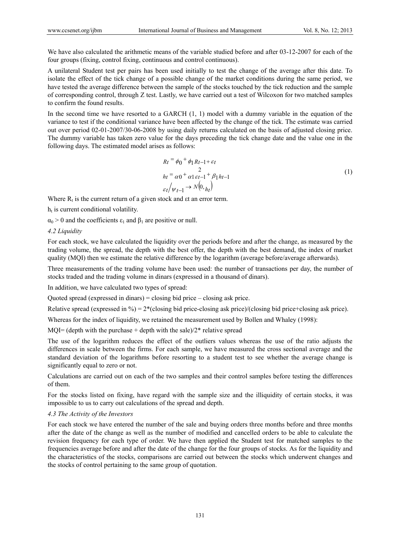We have also calculated the arithmetic means of the variable studied before and after 03-12-2007 for each of the four groups (fixing, control fixing, continuous and control continuous).

A unilateral Student test per pairs has been used initially to test the change of the average after this date. To isolate the effect of the tick change of a possible change of the market conditions during the same period, we have tested the average difference between the sample of the stocks touched by the tick reduction and the sample of corresponding control, through Z test. Lastly, we have carried out a test of Wilcoxon for two matched samples to confirm the found results.

In the second time we have resorted to a GARCH (1, 1) model with a dummy variable in the equation of the variance to test if the conditional variance have been affected by the change of the tick. The estimate was carried out over period 02-01-2007/30-06-2008 by using daily returns calculated on the basis of adjusted closing price. The dummy variable has taken zero value for the days preceding the tick change date and the value one in the following days. The estimated model arises as follows:

$$
R_t = \phi_0 + \phi_1 R_{t-1} + \varepsilon_t
$$
  
\n
$$
h_t = \alpha_0 + \alpha_1 \varepsilon_{t-1} + \beta_1 h_{t-1}
$$
  
\n
$$
\varepsilon_t / \psi_{t-1} \to N(0, h_t)
$$
\n(1)

Where  $R_t$  is the current return of a given stock and  $\epsilon t$  an error term.

 $h_t$  is current conditional volatility.

 $\alpha_0 > 0$  and the coefficients  $\varepsilon_1$  and  $\beta_1$  are positive or null.

#### *4.2 Liquidity*

For each stock, we have calculated the liquidity over the periods before and after the change, as measured by the trading volume, the spread, the depth with the best offer, the depth with the best demand, the index of market quality (MQI) then we estimate the relative difference by the logarithm (average before/average afterwards).

Three measurements of the trading volume have been used: the number of transactions per day, the number of stocks traded and the trading volume in dinars (expressed in a thousand of dinars).

In addition, we have calculated two types of spread:

Quoted spread (expressed in dinars) = closing bid price – closing ask price.

Relative spread (expressed in %) =  $2*(\text{closing bid price- closing ask price})/(\text{closing bid price+ closing ask price})$ .

Whereas for the index of liquidity, we retained the measurement used by Bollen and Whaley (1998):

 $MQI = (depth with the purchase + depth with the sale)/2* relative spread$ 

The use of the logarithm reduces the effect of the outliers values whereas the use of the ratio adjusts the differences in scale between the firms. For each sample, we have measured the cross sectional average and the standard deviation of the logarithms before resorting to a student test to see whether the average change is significantly equal to zero or not.

Calculations are carried out on each of the two samples and their control samples before testing the differences of them.

For the stocks listed on fixing, have regard with the sample size and the illiquidity of certain stocks, it was impossible to us to carry out calculations of the spread and depth.

#### *4.3 The Activity of the Investors*

For each stock we have entered the number of the sale and buying orders three months before and three months after the date of the change as well as the number of modified and cancelled orders to be able to calculate the revision frequency for each type of order. We have then applied the Student test for matched samples to the frequencies average before and after the date of the change for the four groups of stocks. As for the liquidity and the characteristics of the stocks, comparisons are carried out between the stocks which underwent changes and the stocks of control pertaining to the same group of quotation.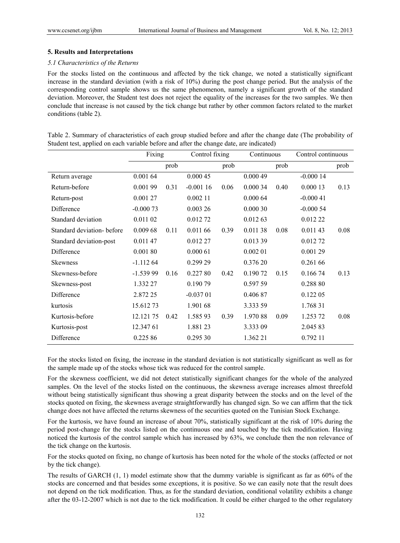#### **5. Results and Interpretations**

#### *5.1 Characteristics of the Returns*

For the stocks listed on the continuous and affected by the tick change, we noted a statistically significant increase in the standard deviation (with a risk of 10%) during the post change period. But the analysis of the corresponding control sample shows us the same phenomenon, namely a significant growth of the standard deviation. Moreover, the Student test does not reject the equality of the increases for the two samples. We then conclude that increase is not caused by the tick change but rather by other common factors related to the market conditions (table 2).

Table 2. Summary of characteristics of each group studied before and after the change date (The probability of Student test, applied on each variable before and after the change date, are indicated)

|                           | Fixing     |      | Control fixing |      | Continuous |      | Control continuous |      |
|---------------------------|------------|------|----------------|------|------------|------|--------------------|------|
|                           |            | prob |                | prob |            | prob |                    | prob |
| Return average            | 0.001 64   |      | 0.00045        |      | 0.00049    |      | $-0.00014$         |      |
| Return-before             | 0.001 99   | 0.31 | $-0.00116$     | 0.06 | 0.000 34   | 0.40 | 0.000 13           | 0.13 |
| Return-post               | 0.001 27   |      | 0.00211        |      | 0.000 64   |      | $-0.00041$         |      |
| Difference                | $-0.00073$ |      | 0.003 26       |      | 0.000 30   |      | $-0.00054$         |      |
| Standard deviation        | 0.011 02   |      | 0.01272        |      | 0.012 63   |      | 0.012 22           |      |
| Standard deviation-before | 0.009 68   | 0.11 | 0.011 66       | 0.39 | 0.01138    | 0.08 | 0.011 43           | 0.08 |
| Standard deviation-post   | 0.011 47   |      | 0.012 27       |      | 0.013 39   |      | 0.01272            |      |
| Difference                | 0.001 80   |      | 0.00061        |      | 0.00201    |      | 0.001 29           |      |
| <b>Skewness</b>           | $-1.11264$ |      | 0.299 29       |      | 0.376 20   |      | 0.261 66           |      |
| Skewness-before           | $-1.53999$ | 0.16 | 0.227 80       | 0.42 | 0.19072    | 0.15 | 0.166 74           | 0.13 |
| Skewness-post             | 1.332 27   |      | 0.19079        |      | 0.597 59   |      | 0.288 80           |      |
| Difference                | 2.872 25   |      | $-0.03701$     |      | 0.406 87   |      | 0.122 05           |      |
| kurtosis                  | 15.61273   |      | 1.901 68       |      | 3.333 59   |      | 1.768 31           |      |
| Kurtosis-before           | 12.121 75  | 0.42 | 1.585 93       | 0.39 | 1.97088    | 0.09 | 1.253 72           | 0.08 |
| Kurtosis-post             | 12.347 61  |      | 1.881 23       |      | 3.333 09   |      | 2.04583            |      |
| Difference                | 0.225 86   |      | 0.295 30       |      | 1.362 21   |      | 0.792 11           |      |

For the stocks listed on fixing, the increase in the standard deviation is not statistically significant as well as for the sample made up of the stocks whose tick was reduced for the control sample.

For the skewness coefficient, we did not detect statistically significant changes for the whole of the analyzed samples. On the level of the stocks listed on the continuous, the skewness average increases almost threefold without being statistically significant thus showing a great disparity between the stocks and on the level of the stocks quoted on fixing, the skewness average straightforwardly has changed sign. So we can affirm that the tick change does not have affected the returns skewness of the securities quoted on the Tunisian Stock Exchange.

For the kurtosis, we have found an increase of about 70%, statistically significant at the risk of 10% during the period post-change for the stocks listed on the continuous one and touched by the tick modification. Having noticed the kurtosis of the control sample which has increased by 63%, we conclude then the non relevance of the tick change on the kurtosis.

For the stocks quoted on fixing, no change of kurtosis has been noted for the whole of the stocks (affected or not by the tick change).

The results of GARCH (1, 1) model estimate show that the dummy variable is significant as far as 60% of the stocks are concerned and that besides some exceptions, it is positive. So we can easily note that the result does not depend on the tick modification. Thus, as for the standard deviation, conditional volatility exhibits a change after the 03-12-2007 which is not due to the tick modification. It could be either charged to the other regulatory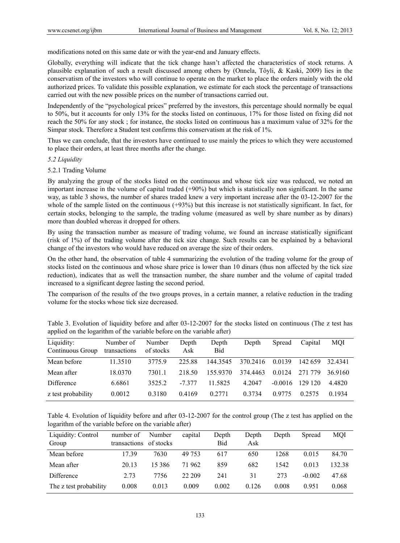modifications noted on this same date or with the year-end and January effects.

Globally, everything will indicate that the tick change hasn't affected the characteristics of stock returns. A plausible explanation of such a result discussed among others by (Onnela, Tôyli, & Kaski, 2009) lies in the conservatism of the investors who will continue to operate on the market to place the orders mainly with the old authorized prices. To validate this possible explanation, we estimate for each stock the percentage of transactions carried out with the new possible prices on the number of transactions carried out.

Independently of the "psychological prices" preferred by the investors, this percentage should normally be equal to 50%, but it accounts for only 13% for the stocks listed on continuous, 17% for those listed on fixing did not reach the 50% for any stock ; for instance, the stocks listed on continuous has a maximum value of 32% for the Simpar stock. Therefore a Student test confirms this conservatism at the risk of 1%.

Thus we can conclude, that the investors have continued to use mainly the prices to which they were accustomed to place their orders, at least three months after the change.

#### *5.2 Liquidity*

#### 5.2.1 Trading Volume

By analyzing the group of the stocks listed on the continuous and whose tick size was reduced, we noted an important increase in the volume of capital traded (+90%) but which is statistically non significant. In the same way, as table 3 shows, the number of shares traded knew a very important increase after the 03-12-2007 for the whole of the sample listed on the continuous (+93%) but this increase is not statistically significant. In fact, for certain stocks, belonging to the sample, the trading volume (measured as well by share number as by dinars) more than doubled whereas it dropped for others.

By using the transaction number as measure of trading volume, we found an increase statistically significant (risk of 1%) of the trading volume after the tick size change. Such results can be explained by a behavioral change of the investors who would have reduced on average the size of their orders.

On the other hand, the observation of table 4 summarizing the evolution of the trading volume for the group of stocks listed on the continuous and whose share price is lower than 10 dinars (thus non affected by the tick size reduction), indicates that as well the transaction number, the share number and the volume of capital traded increased to a significant degree lasting the second period.

The comparison of the results of the two groups proves, in a certain manner, a relative reduction in the trading volume for the stocks whose tick size decreased.

| Liquidity:<br>Continuous Group | Number of<br>transactions | Number<br>of stocks | Depth<br>Ask | Depth<br>Bid | Depth     | Spread    | Capital | MQI       |
|--------------------------------|---------------------------|---------------------|--------------|--------------|-----------|-----------|---------|-----------|
| Mean before                    | 11.3510                   | 37759               | 225.88       | 144.3545     | 370.2416  | 0.0139    | 142.659 | 324341    |
| Mean after                     | 18.0370                   | 7301.1              | 218.50       | 155.9370     | 374.4463  | 0.0124    | 271 779 | 36 9160   |
| <b>Difference</b>              | 6.6861                    | 3525.2              | -7377        | 11 5825      | 4 2047    | $-0.0016$ | 129 120 | 4 4 8 2 0 |
| z test probability             | 0.0012                    | 0.3180              | 0.4169       | 0 2 7 7 1    | 0 3 7 3 4 | 0.9775    | 0.2575  | 0 1 9 3 4 |

| Table 3. Evolution of liquidity before and after 03-12-2007 for the stocks listed on continuous (The z test has |  |  |
|-----------------------------------------------------------------------------------------------------------------|--|--|
| applied on the logarithm of the variable before on the variable after)                                          |  |  |

Table 4. Evolution of liquidity before and after 03-12-2007 for the control group (The z test has applied on the logarithm of the variable before on the variable after)

| Liquidity: Control<br>Group | number of<br>transactions | Number<br>of stocks | capital | Depth<br>Bid | Depth<br>Ask | Depth | Spread   | MOI    |
|-----------------------------|---------------------------|---------------------|---------|--------------|--------------|-------|----------|--------|
| Mean before                 | 17.39                     | 7630                | 49 753  | 617          | 650          | 1268  | 0.015    | 84.70  |
| Mean after                  | 20.13                     | 15 386              | 71 962  | 859          | 682          | 1542  | 0.013    | 132.38 |
| Difference                  | 2.73                      | 7756                | 22 209  | 241          | 31           | 273   | $-0.002$ | 47.68  |
| The z test probability      | 0.008                     | 0.013               | 0.009   | 0.002        | 0.126        | 0.008 | 0.951    | 0.068  |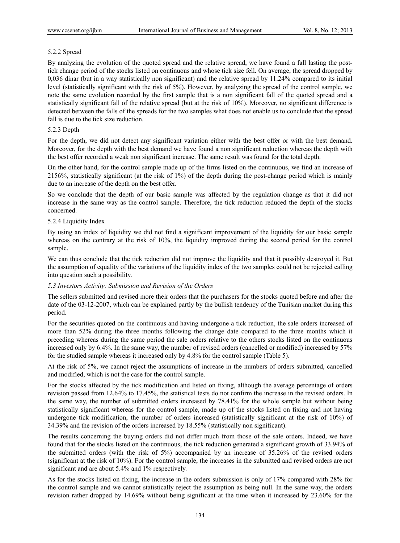## 5.2.2 Spread

By analyzing the evolution of the quoted spread and the relative spread, we have found a fall lasting the posttick change period of the stocks listed on continuous and whose tick size fell. On average, the spread dropped by 0,036 dinar (but in a way statistically non significant) and the relative spread by 11.24% compared to its initial level (statistically significant with the risk of 5%). However, by analyzing the spread of the control sample, we note the same evolution recorded by the first sample that is a non significant fall of the quoted spread and a statistically significant fall of the relative spread (but at the risk of 10%). Moreover, no significant difference is detected between the falls of the spreads for the two samples what does not enable us to conclude that the spread fall is due to the tick size reduction.

## 5.2.3 Depth

For the depth, we did not detect any significant variation either with the best offer or with the best demand. Moreover, for the depth with the best demand we have found a non significant reduction whereas the depth with the best offer recorded a weak non significant increase. The same result was found for the total depth.

On the other hand, for the control sample made up of the firms listed on the continuous, we find an increase of 2156%, statistically significant (at the risk of 1%) of the depth during the post-change period which is mainly due to an increase of the depth on the best offer.

So we conclude that the depth of our basic sample was affected by the regulation change as that it did not increase in the same way as the control sample. Therefore, the tick reduction reduced the depth of the stocks concerned.

## 5.2.4 Liquidity Index

By using an index of liquidity we did not find a significant improvement of the liquidity for our basic sample whereas on the contrary at the risk of 10%, the liquidity improved during the second period for the control sample.

We can thus conclude that the tick reduction did not improve the liquidity and that it possibly destroyed it. But the assumption of equality of the variations of the liquidity index of the two samples could not be rejected calling into question such a possibility.

## *5.3 Investors Activity: Submission and Revision of the Orders*

The sellers submitted and revised more their orders that the purchasers for the stocks quoted before and after the date of the 03-12-2007, which can be explained partly by the bullish tendency of the Tunisian market during this period.

For the securities quoted on the continuous and having undergone a tick reduction, the sale orders increased of more than 52% during the three months following the change date compared to the three months which it preceding whereas during the same period the sale orders relative to the others stocks listed on the continuous increased only by 6.4%. In the same way, the number of revised orders (cancelled or modified) increased by 57% for the studied sample whereas it increased only by 4.8% for the control sample (Table 5).

At the risk of 5%, we cannot reject the assumptions of increase in the numbers of orders submitted, cancelled and modified, which is not the case for the control sample.

For the stocks affected by the tick modification and listed on fixing, although the average percentage of orders revision passed from 12.64% to 17.45%, the statistical tests do not confirm the increase in the revised orders. In the same way, the number of submitted orders increased by 78.41% for the whole sample but without being statistically significant whereas for the control sample, made up of the stocks listed on fixing and not having undergone tick modification, the number of orders increased (statistically significant at the risk of 10%) of 34.39% and the revision of the orders increased by 18.55% (statistically non significant).

The results concerning the buying orders did not differ much from those of the sale orders. Indeed, we have found that for the stocks listed on the continuous, the tick reduction generated a significant growth of 33.94% of the submitted orders (with the risk of 5%) accompanied by an increase of 35.26% of the revised orders (significant at the risk of 10%). For the control sample, the increases in the submitted and revised orders are not significant and are about 5.4% and 1% respectively.

As for the stocks listed on fixing, the increase in the orders submission is only of 17% compared with 28% for the control sample and we cannot statistically reject the assumption as being null. In the same way, the orders revision rather dropped by 14.69% without being significant at the time when it increased by 23.60% for the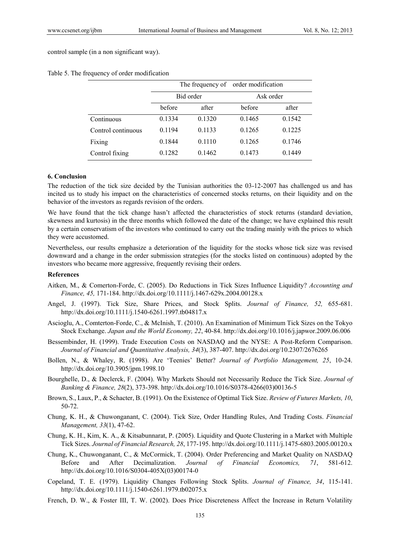control sample (in a non significant way).

| Table 5. The frequency of order modification |  |  |  |  |  |
|----------------------------------------------|--|--|--|--|--|
|----------------------------------------------|--|--|--|--|--|

|                    | The frequency of order modification |           |           |        |  |  |  |
|--------------------|-------------------------------------|-----------|-----------|--------|--|--|--|
|                    |                                     | Bid order | Ask order |        |  |  |  |
|                    | before                              | after     | before    | after  |  |  |  |
| Continuous         | 0.1334                              | 0.1320    | 0.1465    | 0.1542 |  |  |  |
| Control continuous | 0.1194                              | 0.1133    | 0.1265    | 0.1225 |  |  |  |
| Fixing             | 0.1844                              | 0.1110    | 0.1265    | 0.1746 |  |  |  |
| Control fixing     | 0.1282                              | 0.1462    | 0.1473    | 0.1449 |  |  |  |

#### **6. Conclusion**

The reduction of the tick size decided by the Tunisian authorities the 03-12-2007 has challenged us and has incited us to study his impact on the characteristics of concerned stocks returns, on their liquidity and on the behavior of the investors as regards revision of the orders.

We have found that the tick change hasn't affected the characteristics of stock returns (standard deviation, skewness and kurtosis) in the three months which followed the date of the change; we have explained this result by a certain conservatism of the investors who continued to carry out the trading mainly with the prices to which they were accustomed.

Nevertheless, our results emphasize a deterioration of the liquidity for the stocks whose tick size was revised downward and a change in the order submission strategies (for the stocks listed on continuous) adopted by the investors who became more aggressive, frequently revising their orders.

#### **References**

- Aitken, M., & Comerton-Forde, C. (2005). Do Reductions in Tick Sizes Influence Liquidity? *Accounting and Finance, 45,* 171-184. http://dx.doi.org/10.1111/j.1467-629x.2004.00128.x
- Angel, J. (1997). Tick Size, Share Prices, and Stock Splits. *Journal of Finance, 52,* 655-681. http://dx.doi.org/10.1111/j.1540-6261.1997.tb04817.x
- Ascioglu, A., Comterton-Forde, C., & McInish, T. (2010). An Examination of Minimum Tick Sizes on the Tokyo Stock Exchange. *Japan and the World Economy, 22*, 40-84. http://dx.doi.org/10.1016/j.japwor.2009.06.006
- Bessembinder, H. (1999). Trade Execution Costs on NASDAQ and the NYSE: A Post-Reform Comparison. *Journal of Financial and Quantitative Analysis, 34*(3), 387-407. http://dx.doi.org/10.2307/2676265
- Bollen, N., & Whaley, R. (1998). Are 'Teenies' Better? *Journal of Portfolio Management, 25*, 10-24. http://dx.doi.org/10.3905/jpm.1998.10
- Bourghelle, D., & Declerck, F. (2004). Why Markets Should not Necessarily Reduce the Tick Size. *Journal of Banking & Finance, 28*(2), 373-398. http://dx.doi.org/10.1016/S0378-4266(03)00136-5
- Brown, S., Laux, P., & Schacter, B. (1991). On the Existence of Optimal Tick Size. *Review of Futures Markets, 10*, 50-72.
- Chung, K. H., & Chuwonganant, C. (2004). Tick Size, Order Handling Rules, And Trading Costs. *Financial Management, 33*(1), 47-62.
- Chung, K. H., Kim, K. A., & Kitsabunnarat, P. (2005). Liquidity and Quote Clustering in a Market with Multiple Tick Sizes. *Journal of Financial Research, 28*, 177-195. http://dx.doi.org/10.1111/j.1475-6803.2005.00120.x
- Chung, K., Chuwonganant, C., & McCormick, T. (2004). Order Preferencing and Market Quality on NASDAQ Before and After Decimalization. *Journal of Financial Economics, 71*, 581-612. http://dx.doi.org/10.1016/S0304-405X(03)00174-0
- Copeland, T. E. (1979). Liquidity Changes Following Stock Splits. *Journal of Finance, 34*, 115-141. http://dx.doi.org/10.1111/j.1540-6261.1979.tb02075.x
- French, D. W., & Foster III, T. W. (2002). Does Price Discreteness Affect the Increase in Return Volatility